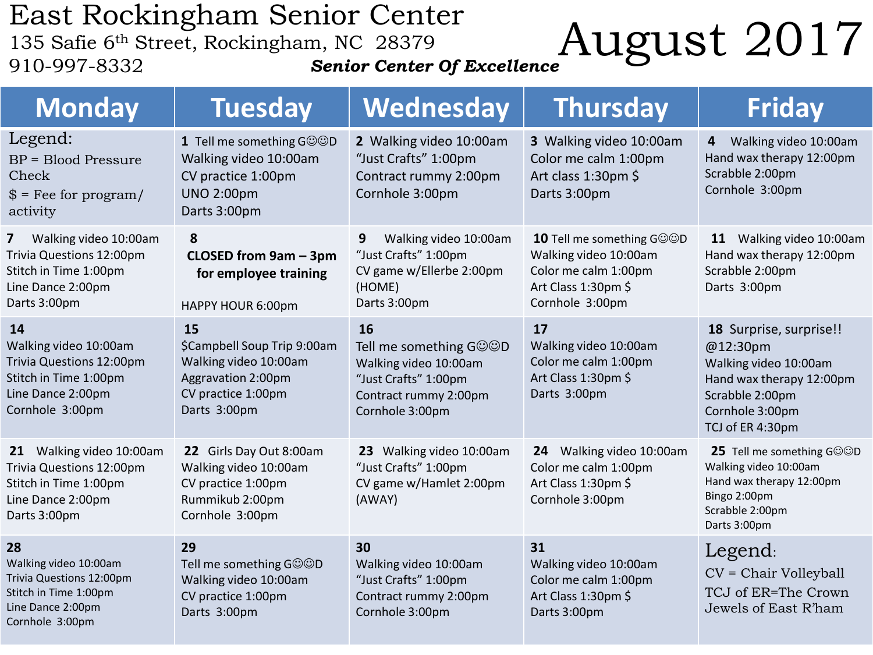### East Rockingham Senior Center 135 Safie 6th Street, Rockingham, NC 28379 910-997-8332

## *M. NC 28379*<br>*Senior Center Of Excellence*<br>*Senior Center Of Excellence*

| <b>Monday</b>                                                                                                                              | <b>Tuesday</b>                                                                                                         | Wednesday                                                                                                                 | <b>Thursday</b>                                                                                                      | <b>Friday</b>                                                                                                                                      |
|--------------------------------------------------------------------------------------------------------------------------------------------|------------------------------------------------------------------------------------------------------------------------|---------------------------------------------------------------------------------------------------------------------------|----------------------------------------------------------------------------------------------------------------------|----------------------------------------------------------------------------------------------------------------------------------------------------|
| Legend:<br><b>BP</b> = Blood Pressure<br>Check<br>$$ =$ Fee for program/<br>activity                                                       | 1 Tell me something GOOD<br>Walking video 10:00am<br>CV practice 1:00pm<br><b>UNO 2:00pm</b><br>Darts 3:00pm           | 2 Walking video 10:00am<br>"Just Crafts" 1:00pm<br>Contract rummy 2:00pm<br>Cornhole 3:00pm                               | 3 Walking video 10:00am<br>Color me calm 1:00pm<br>Art class 1:30pm \$<br>Darts 3:00pm                               | Walking video 10:00am<br>4<br>Hand wax therapy 12:00pm<br>Scrabble 2:00pm<br>Cornhole 3:00pm                                                       |
| Walking video 10:00am<br>$\overline{\mathbf{z}}$<br>Trivia Questions 12:00pm<br>Stitch in Time 1:00pm<br>Line Dance 2:00pm<br>Darts 3:00pm | 8<br>CLOSED from 9am - 3pm<br>for employee training<br>HAPPY HOUR 6:00pm                                               | Walking video 10:00am<br>9<br>"Just Crafts" 1:00pm<br>CV game w/Ellerbe 2:00pm<br>(HOME)<br>Darts 3:00pm                  | 10 Tell me something GOOD<br>Walking video 10:00am<br>Color me calm 1:00pm<br>Art Class 1:30pm \$<br>Cornhole 3:00pm | Walking video 10:00am<br>11<br>Hand wax therapy 12:00pm<br>Scrabble 2:00pm<br>Darts 3:00pm                                                         |
| 14<br>Walking video 10:00am<br>Trivia Questions 12:00pm<br>Stitch in Time 1:00pm<br>Line Dance 2:00pm<br>Cornhole 3:00pm                   | 15<br>\$Campbell Soup Trip 9:00am<br>Walking video 10:00am<br>Aggravation 2:00pm<br>CV practice 1:00pm<br>Darts 3:00pm | 16<br>Tell me something GOOD<br>Walking video 10:00am<br>"Just Crafts" 1:00pm<br>Contract rummy 2:00pm<br>Cornhole 3:00pm | 17<br>Walking video 10:00am<br>Color me calm 1:00pm<br>Art Class 1:30pm \$<br>Darts 3:00pm                           | 18 Surprise, surprise!!<br>@12:30pm<br>Walking video 10:00am<br>Hand wax therapy 12:00pm<br>Scrabble 2:00pm<br>Cornhole 3:00pm<br>TCJ of ER 4:30pm |
| 21 Walking video 10:00am<br>Trivia Questions 12:00pm<br>Stitch in Time 1:00pm<br>Line Dance 2:00pm<br>Darts 3:00pm                         | 22 Girls Day Out 8:00am<br>Walking video 10:00am<br>CV practice 1:00pm<br>Rummikub 2:00pm<br>Cornhole 3:00pm           | 23 Walking video 10:00am<br>"Just Crafts" 1:00pm<br>CV game w/Hamlet 2:00pm<br>(AWAY)                                     | Walking video 10:00am<br>24<br>Color me calm 1:00pm<br>Art Class 1:30pm \$<br>Cornhole 3:00pm                        | 25 Tell me something GOOD<br>Walking video 10:00am<br>Hand wax therapy 12:00pm<br>Bingo 2:00pm<br>Scrabble 2:00pm<br>Darts 3:00pm                  |
| 28<br>Walking video 10:00am<br>Trivia Questions 12:00pm<br>Stitch in Time 1:00pm<br>Line Dance 2:00pm<br>Cornhole 3:00pm                   | 29<br>Tell me something GOOD<br>Walking video 10:00am<br>CV practice 1:00pm<br>Darts 3:00pm                            | 30<br>Walking video 10:00am<br>"Just Crafts" 1:00pm<br>Contract rummy 2:00pm<br>Cornhole 3:00pm                           | 31<br>Walking video 10:00am<br>Color me calm 1:00pm<br>Art Class 1:30pm \$<br>Darts 3:00pm                           | Legend:<br>CV = Chair Volleyball<br>TCJ of ER=The Crown<br>Jewels of East R'ham                                                                    |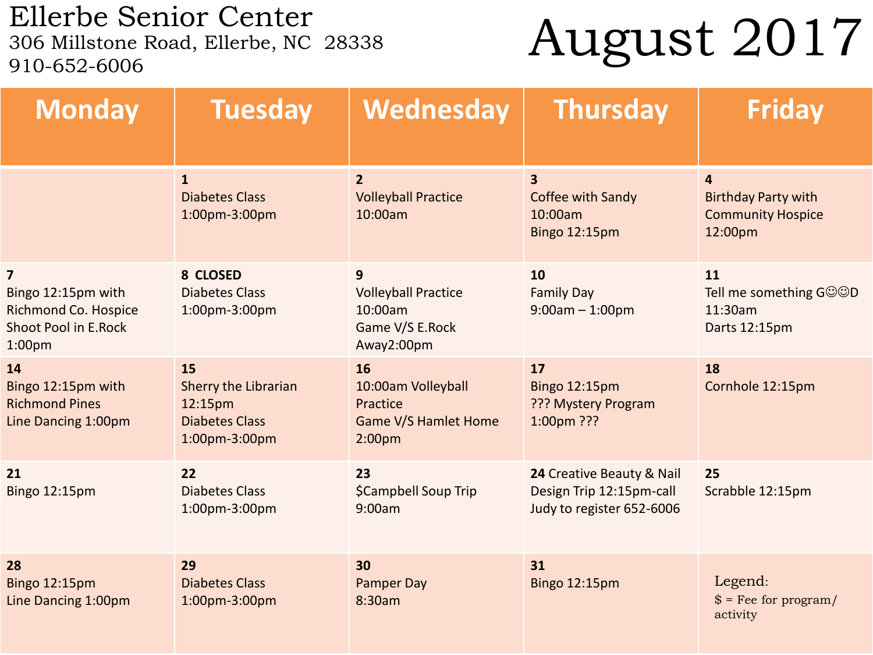Ellerbe Senior Center<br>306 Millstone Road, Ellerbe, NC 28338 910-652-6006

### August 2017

| <b>Monday</b>                                                                                                       | <b>Tuesday</b>                                                                         | Wednesday                                                                                 | <b>Thursday</b>                                                                    | <b>Friday</b>                                                                       |
|---------------------------------------------------------------------------------------------------------------------|----------------------------------------------------------------------------------------|-------------------------------------------------------------------------------------------|------------------------------------------------------------------------------------|-------------------------------------------------------------------------------------|
|                                                                                                                     | $\mathbf{1}$<br><b>Diabetes Class</b><br>1:00pm-3:00pm                                 | $\overline{2}$<br><b>Volleyball Practice</b><br>10:00am                                   | $\overline{\mathbf{3}}$<br>Coffee with Sandy<br>10:00am<br>Bingo 12:15pm           | $\overline{4}$<br><b>Birthday Party with</b><br><b>Community Hospice</b><br>12:00pm |
| $\overline{\mathbf{z}}$<br>Bingo 12:15pm with<br>Richmond Co. Hospice<br>Shoot Pool in E.Rock<br>1:00 <sub>pm</sub> | 8 CLOSED<br><b>Diabetes Class</b><br>1:00pm-3:00pm                                     | 9<br><b>Volleyball Practice</b><br>10:00am<br>Game V/S E.Rock<br>Away2:00pm               | 10<br><b>Family Day</b><br>$9:00am - 1:00pm$                                       | 11<br>Tell me something GOOD<br>11:30am<br>Darts 12:15pm                            |
| 14<br>Bingo 12:15pm with<br><b>Richmond Pines</b><br>Line Dancing 1:00pm                                            | 15<br><b>Sherry the Librarian</b><br>12:15pm<br><b>Diabetes Class</b><br>1:00pm-3:00pm | 16<br>10:00am Volleyball<br>Practice<br><b>Game V/S Hamlet Home</b><br>2:00 <sub>pm</sub> | 17<br>Bingo 12:15pm<br>??? Mystery Program<br>1:00pm ???                           | 18<br>Cornhole 12:15pm                                                              |
| 21<br>Bingo 12:15pm                                                                                                 | 22<br><b>Diabetes Class</b><br>1:00pm-3:00pm                                           | 23<br>\$Campbell Soup Trip<br>9:00am                                                      | 24 Creative Beauty & Nail<br>Design Trip 12:15pm-call<br>Judy to register 652-6006 | 25<br>Scrabble 12:15pm                                                              |
| 28<br>Bingo 12:15pm<br>Line Dancing 1:00pm                                                                          | 29<br><b>Diabetes Class</b><br>1:00pm-3:00pm                                           | 30<br><b>Pamper Day</b><br>8:30am                                                         | 31<br><b>Bingo 12:15pm</b>                                                         | Legend:<br>$$ =$ Fee for program/<br>activity                                       |